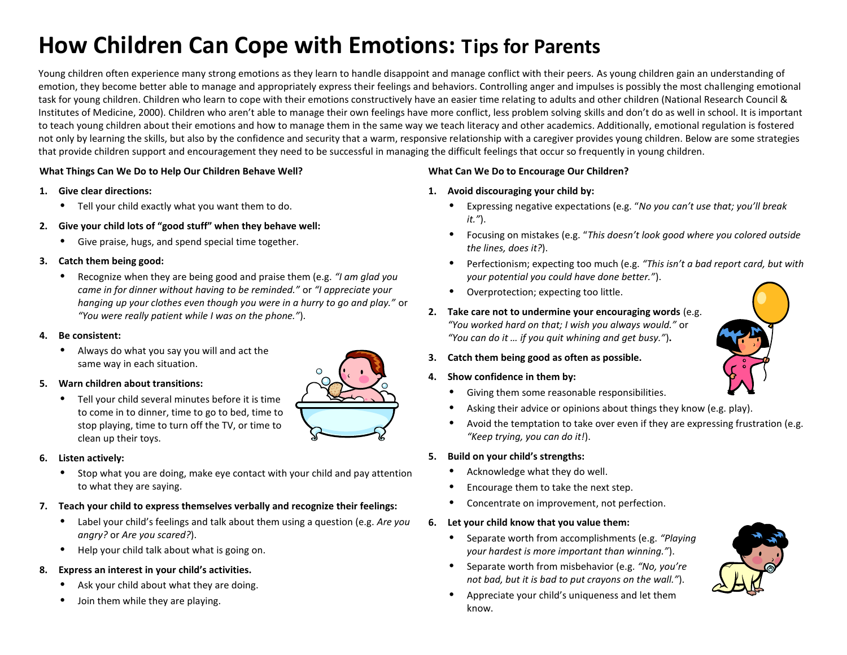# **How Children Can Cope with Emotions: Tips for Parents**

Young children often experience many strong emotions as they learn to handle disappoint and manage conflict with their peers. As young children gain an understanding of emotion, they become better able to manage and appropriately express their feelings and behaviors. Controlling anger and impulses is possibly the most challenging emotional task for young children. Children who learn to cope with their emotions constructively have an easier time relating to adults and other children (National Research Council & Institutes of Medicine, 2000). Children who aren't able to manage their own feelings have more conflict, less problem solving skills and don't do as well in school. It is important to teach young children about their emotions and how to manage them in the same way we teach literacy and other academics. Additionally, emotional regulation is fostered not only by learning the skills, but also by the confidence and security that a warm, responsive relationship with a caregiver provides young children. Below are some strategies that provide children support and encouragement they need to be successful in managing the difficult feelings that occur so frequently in young children.

#### **What Things Can We Do to Help Our Children Behave Well?**

- **1. Give clear directions:**
	- **•** Tell your child exactly what you want them to do.
- **2. Give your child lots of "good stuff" when they behave well:**
	- **•** Give praise, hugs, and spend special time together.

# **3. Catch them being good:**

**•** Recognize when they are being good and praise them (e.g. *"I am glad you came in for dinner without having to be reminded."* or *"I appreciate your hanging up your clothes even though you were in a hurry to go and play."* or *"You were really patient while I was on the phone."*).

# **4. Be consistent:**

**•** Always do what you say you will and act the same way in each situation.

# **5. Warn children about transitions:**

**•** Tell your child several minutes before it is time to come in to dinner, time to go to bed, time to stop playing, time to turn off the TV, or time to clean up their toys.

# **6. Listen actively:**

- **•** Stop what you are doing, make eye contact with your child and pay attention to what they are saying.
- **7. Teach your child to express themselves verbally and recognize their feelings:** 
	- **•** Label your child's feelings and talk about them using a question (e.g. *Are you angry?* or *Are you scared?*).
	- **•** Help your child talk about what is going on.

# **8. Express an interest in your child's activities.**

- **•** Ask your child about what they are doing.
- **•** Join them while they are playing.

# **What Can We Do to Encourage Our Children?**

- **1. Avoid discouraging your child by:**
	- **•** Expressing negative expectations (e.g. "*No you can't use that; you'll break it."*).
	- **•** Focusing on mistakes (e.g. "*This doesn't look good where you colored outside the lines, does it?*).
	- **•** Perfectionism; expecting too much (e.g. *"This isn't a bad report card, but with your potential you could have done better."*).
	- **•** Overprotection; expecting too little.
- **2. Take care not to undermine your encouraging words** (e.g. *"You worked hard on that; I wish you always would."* or *"You can do it … if you quit whining and get busy."*)**.**
- **3. Catch them being good as often as possible.**
- **4. Show confidence in them by:**
	- **•** Giving them some reasonable responsibilities.
	- **•** Asking their advice or opinions about things they know (e.g. play).
	- **•** Avoid the temptation to take over even if they are expressing frustration (e.g. *"Keep trying, you can do it!*).

# **5. Build on your child's strengths:**

- **•** Acknowledge what they do well.
- **•** Encourage them to take the next step.
- **•** Concentrate on improvement, not perfection.

#### **6. Let your child know that you value them:**

- **•** Separate worth from accomplishments (e.g. *"Playing your hardest is more important than winning."*).
- **•** Separate worth from misbehavior (e.g. *"No, you're not bad, but it is bad to put crayons on the wall."*).
- **•** Appreciate your child's uniqueness and let them know.